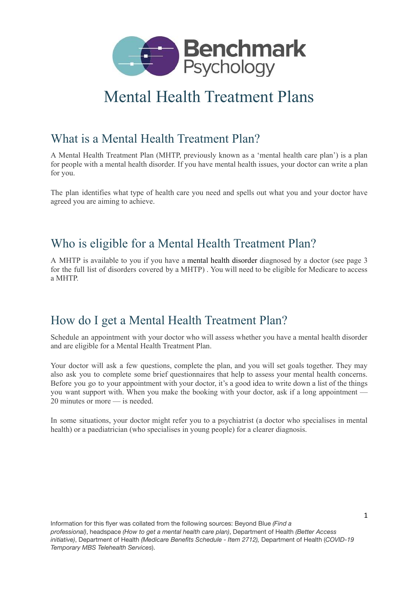

# Mental Health Treatment Plans

#### What is a Mental Health Treatment Plan?

A Mental Health Treatment Plan (MHTP, previously known as a 'mental health care plan') is a plan for people with a mental health disorder. If you have mental health issues, your doctor can write a plan for you.

The plan identifies what type of health care you need and spells out what you and your doctor have agreed you are aiming to achieve.

### Who is eligible for a Mental Health Treatment Plan?

A MHTP is available to you if you have a mental health [disorder](https://www.healthdirect.gov.au/mental-health-disorders) diagnosed by a doctor (see page 3 for the full list of disorders covered by a MHTP) . You will need to be eligible for Medicare to access a MHTP.

#### How do I get a Mental Health Treatment Plan?

Schedule an appointment with your doctor who will assess whether you have a mental health disorder and are eligible for a Mental Health Treatment Plan.

Your doctor will ask a few questions, complete the plan, and you will set goals together. They may also ask you to complete some brief questionnaires that help to assess your mental health concerns. Before you go to your appointment with your doctor, it's a good idea to write down a list of the things you want support with. When you make the booking with your doctor, ask if a long appointment — 20 minutes or more — is needed.

In some situations, your doctor might refer you to a psychiatrist (a doctor who specialises in mental health) or a paediatrician (who specialises in young people) for a clearer diagnosis.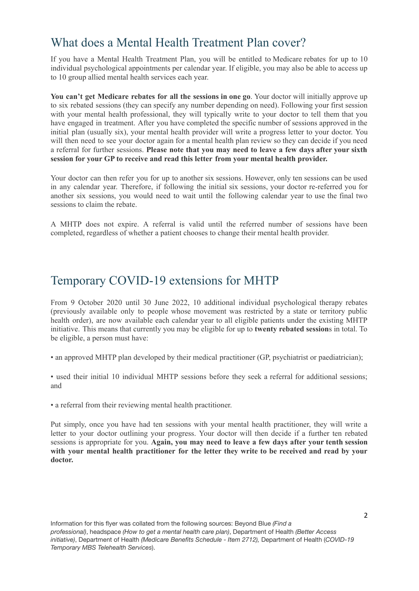### What does a Mental Health Treatment Plan cover?

If you have a Mental Health Treatment Plan, you will be entitled to [Medicare](https://www.healthdirect.gov.au/what-is-medicare) rebates for up to 10 individual psychological appointments per calendar year. If eligible, you may also be able to access up to 10 group allied mental health services each year.

**You can't get Medicare rebates for all the sessions in one go**. Your doctor will initially approve up to six rebated sessions (they can specify any number depending on need). Following your first session with your mental health professional, they will typically write to your doctor to tell them that you have engaged in treatment. After you have completed the specific number of sessions approved in the initial plan (usually six), your mental health provider will write a progress letter to your doctor. You will then need to see your doctor again for a mental health plan review so they can decide if you need a referral for further sessions. **Please note that you may need to leave a few days after your sixth session for your GP to receive and read this letter from your mental health provider.**

Your doctor can then refer you for up to another six sessions. However, only ten sessions can be used in any calendar year. Therefore, if following the initial six sessions, your doctor re-referred you for another six sessions, you would need to wait until the following calendar year to use the final two sessions to claim the rebate.

A MHTP does not expire. A referral is valid until the referred number of sessions have been completed, regardless of whether a patient chooses to change their mental health provider.

#### Temporary COVID-19 extensions for MHTP

From 9 October 2020 until 30 June 2022, 10 additional individual psychological therapy rebates (previously available only to people whose movement was restricted by a state or territory public health order), are now available each calendar year to all eligible patients under the existing MHTP initiative. This means that currently you may be eligible for up to **twenty rebated session**s in total. To be eligible, a person must have:

• an approved MHTP plan developed by their medical practitioner (GP, psychiatrist or paediatrician);

• used their initial 10 individual MHTP sessions before they seek a referral for additional sessions; and

• a referral from their reviewing mental health practitioner.

Put simply, once you have had ten sessions with your mental health practitioner, they will write a letter to your doctor outlining your progress. Your doctor will then decide if a further ten rebated sessions is appropriate for you. **Again, you may need to leave a few days after your tenth session with your mental health practitioner for the letter they write to be received and read by your doctor.**

Information for this flyer was collated from the following sources: [Beyond Blue](https://www.beyondblue.org.au/) *(Find a professional)*, [headspace](https://headspace.org.au/) *(How to get a mental health care plan)*, [Department of Health](https://www.health.gov.au/) *(Better Access initiative)*, [Department of Health](https://www.health.gov.au/) *(Medicare Benefits Schedule - Item 2712),* [Department of Health](https://www.health.gov.au/) (*COVID-19 Temporary MBS Telehealth Services*).